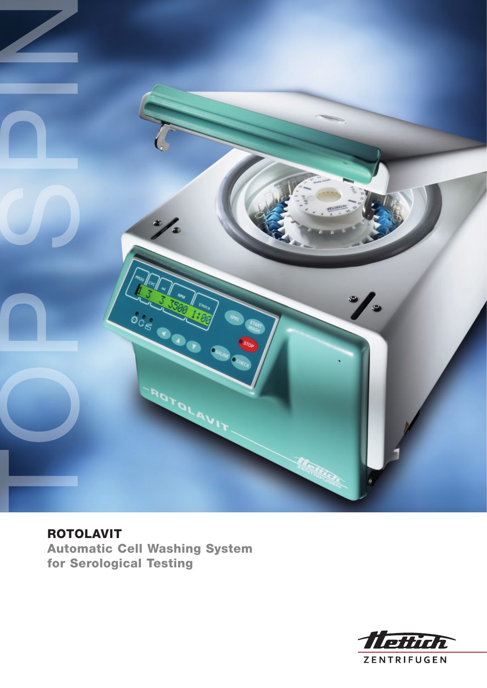

ROTOLAVIT Automatic Cell Washing System for Serological Testing

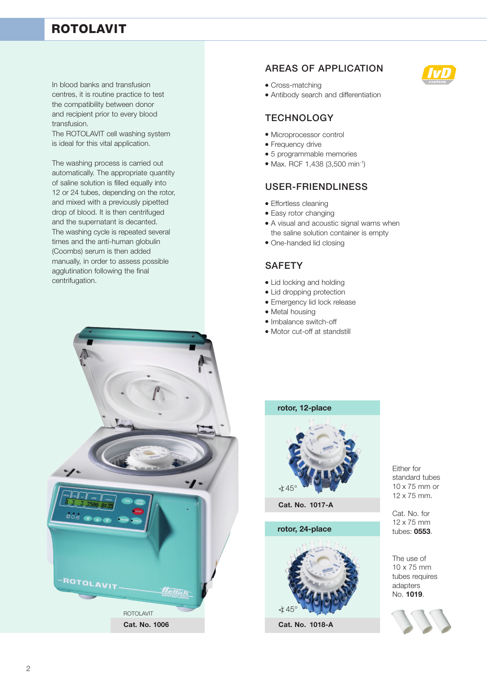# ROTOLAVIT

In blood banks and transfusion centres, it is routine practice to test the compatibility between donor and recipient prior to every blood transfusion.

The ROTOLAVIT cell washing system is ideal for this vital application.

The washing process is carried out automatically. The appropriate quantity of saline solution is filled equally into 12 or 24 tubes, depending on the rotor, and mixed with a previously pipetted drop of blood. It is then centrifuged and the supernatant is decanted. The washing cycle is repeated several times and the anti-human globulin (Coombs) serum is then added manually, in order to assess possible agglutination following the final centrifugation.



#### areas of application



- Cross-matching
- Antibody search and differentiation

#### **TECHNOLOGY**

- Microprocessor control
- Frequency drive
- 5 programmable memories
- Max. RCF 1,438 (3,500 min-1)

## user-friendliness

- Effortless cleaning
- Easy rotor changing
- A visual and acoustic signal warns when the saline solution container is empty
- One-handed lid closing

## **SAFETY**

- Lid locking and holding
- Lid dropping protection
- Emergency lid lock release
- Metal housing
- Imbalance switch-off
- Motor cut-off at standstill

#### **rotor, 12-place**



**Cat. No. 1017-A**

**rotor, 24-place**



**Cat. No. 1018-A**

Either for standard tubes 10 x 75 mm or 12 x 75 mm.

Cat. No. for 12 x 75 mm tubes: **0553**.

The use of 10 x 75 mm tubes requires adapters No. **1019**.

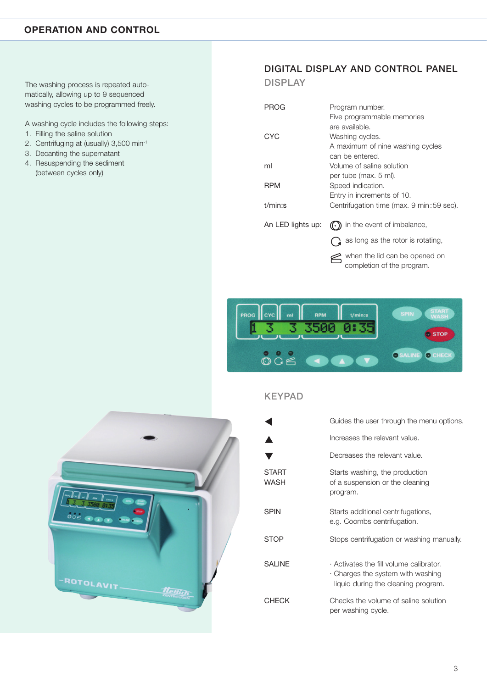### **OPERATION AND CONTROL**

The washing process is repeated automatically, allowing up to 9 sequenced washing cycles to be programmed freely.

A washing cycle includes the following steps:

- 1. Filling the saline solution
- 2. Centrifuging at (usually) 3,500 min-1
- 3. Decanting the supernatant
- 4. Resuspending the sediment (between cycles only)

# DIGITAL DISPLAY AND CONTROL PANEL

**DISPLAY** 

| PROG              | Program number.                           |
|-------------------|-------------------------------------------|
|                   | Five programmable memories                |
|                   | are available.                            |
| CYC               | Washing cycles.                           |
|                   | A maximum of nine washing cycles          |
|                   | can be entered.                           |
| ml                | Volume of saline solution                 |
|                   | per tube (max. 5 ml).                     |
| <b>RPM</b>        | Speed indication.                         |
|                   | Entry in increments of 10.                |
| $t/min$ :s        | Centrifugation time (max. 9 min: 59 sec). |
|                   |                                           |
| An LED lights up: | in the event of imbalance,<br>(( • ))     |
|                   | as long as the rotor is rotating,         |

when the lid can be opened on completion of the program.





|                      | Guides the user through the menu options.                                                                                       |
|----------------------|---------------------------------------------------------------------------------------------------------------------------------|
|                      | Increases the relevant value.                                                                                                   |
|                      | Decreases the relevant value.                                                                                                   |
| <b>START</b><br>WASH | Starts washing, the production<br>of a suspension or the cleaning<br>program.                                                   |
| <b>SPIN</b>          | Starts additional centrifugations,<br>e.g. Coombs centrifugation.                                                               |
| <b>STOP</b>          | Stops centrifugation or washing manually.                                                                                       |
| <b>SALINE</b>        | $\cdot$ Activates the fill volume calibrator.<br>$\cdot$ Charges the system with washing<br>liquid during the cleaning program. |
| <b>CHECK</b>         | Checks the volume of saline solution<br>per washing cycle.                                                                      |